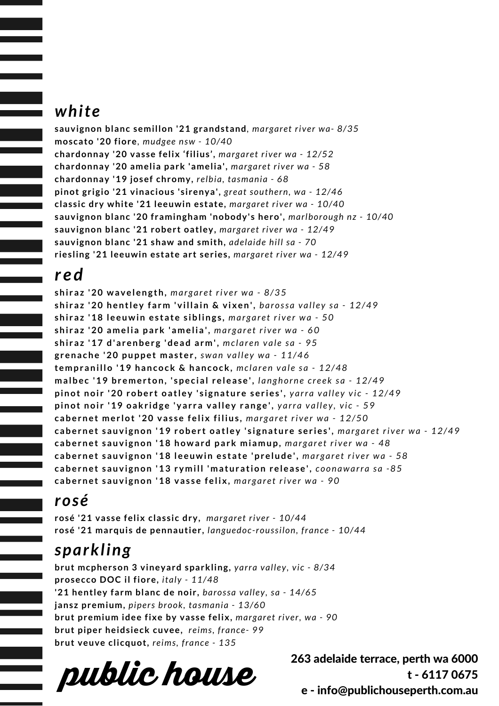#### *white*

**sauvignon blanc semillon '21 grandstand***, margaret river wa- 8/35* **moscato '20 fiore***, mudgee nsw - 10/40* **chardonnay '20 vasse felix 'filius',** *margaret river wa - 12/52* **chardonnay '20 amelia park 'amelia',** *margaret river wa - 58* **chardonnay '19 josef chromy,** *relbia, tasmania - 68* **pinot grigio '21 vinacious 'sirenya',** *great southern, wa - 12/46* **classic dry white '21 leeuwin estate,** *margaret river wa - 10/40* **sauvignon blanc '20 framingham 'nobody's hero',** *marlborough nz - 10/40* **sauvignon blanc '21 robert oatley,** *margaret river wa - 12/49* **sauvignon blanc '21 shaw and smith,** *adelaide hill sa - 70* **riesling '21 leeuwin estate art series,** *margaret river wa - 12/49*

#### *r ed*

shiraz '20 wavelength, margaret river wa - 8/35 shiraz '20 hentley farm 'villain & vixen', barossa valley sa - 12/49 shiraz '18 leeuwin estate siblings, margaret river wa - 50 shiraz '20 amelia park 'amelia', margaret river wa - 60 shiraz '17 d'arenberg 'dead arm', mclaren vale sa - 95 grenache '20 puppet master, swan valley wa - 11/46 **t empr anillo '19 hancock & hancock,** *mc l a r e n v a l e s a - 12/48* malbec '19 bremerton, 'special release', langhorne creek sa - 12/49 pinot noir '20 robert oatley 'signature series', yarra valley vic - 12/49 pinot noir '19 oakridge 'yarra valley range', yarra valley, vic - 59 cabernet merlot '20 vasse felix filius, margaret river wa - 12/50 cabernet sauvignon '19 robert oatley 'signature series', margaret river wa - 12/49 cabernet sauvignon '18 howard park miamup, margaret river wa - 48 cabernet sauvignon '18 leeuwin estate 'prelude', margaret river wa - 58 cabernet sauvignon '13 rymill 'maturation release', coonawarra sa -85 cabernet sauvignon '18 vasse felix, margaret river wa - 90

#### *rosé*

**rosé '21 vasse felix classic dry,** *margaret river - 10/44* **rosé '21 marquis de pennautier,** *languedoc-roussilon, france - 10/44*

# *sparkling*

**brut mcpherson 3 vineyard sparkling,** *yarra valley, vic - 8/34* **prosecco DOC il fiore,** *italy - 11/48* **'21 hentley farm blanc de noir,** *barossa valley, sa - 14/65* **jansz premium,** *pipers brook, tasmania - 13/60* **brut premium idee fixe by vasse felix,** *margaret river, wa - 90* **brut piper heidsieck cuvee,** *reims, france- 99* **brut veuve clicquot,** *reims, france - 135*

**public house**

263 adelaide terrace, perth wa 6000 t - 6117 0675 e - info@publichouseperth.com.au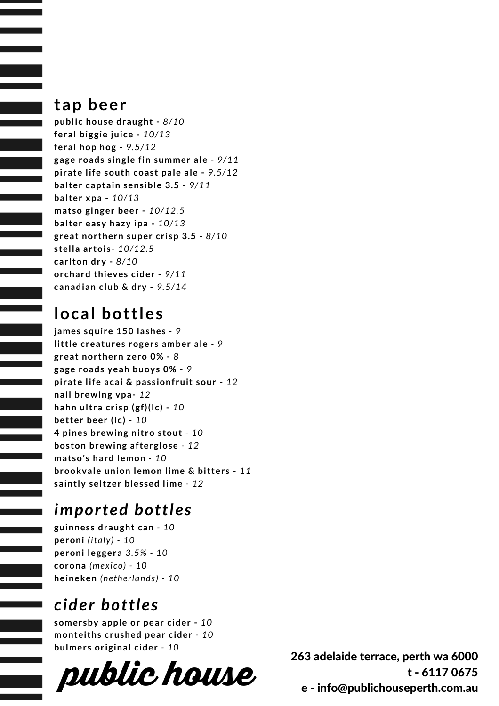### **tap beer**

**public house draught -** *8/10* **feral biggie juice -** *10/13* **feral hop hog -** *9.5/12* **gage roads single fin summer ale -** *9/11* **pirate life south coast pale ale -** *9.5/12* **balter captain sensible 3.5 -** *9/11* **balter xpa -** *10/13* **matso ginger beer -** *10/12.5* **balter easy hazy ipa -** *10/13* **great northern super crisp 3.5 -** *8/10* **stella artois-** *10/12.5* **carlton dry -** *8/10* **orchard thieves cider -** *9/11* **canadian club & dry -** *9.5/14*

# **local bottles**

**james squire 150 lashes** *- 9* **little creatures rogers amber ale** *- 9* **great northern zero 0% -** *8* **gage roads yeah buoys 0% -** *9* **pirate life acai & passionfruit sour -** *12* **nail brewing vpa-** *12* **hahn ultra crisp (gf)(lc) -** *10* **better beer (lc) -** *10* **4 pines brewing nitro stout** *- 10* **boston brewing afterglose** *- 12* **matso's hard lemon** *- 10* **brookvale union lemon lime & bitters -** *11* **saintly seltzer blessed lime** *- 12*

# *imported bottles*

**guinness draught can** *- 10* **peroni** *(italy) - 10* **peroni leggera** *3.5% - 10* **corona** *(mexico) - 10* **heineken** *(netherlands) - 10*

# *cider bottles*

**somersby apple or pear cider -** *10* **monteiths crushed pear cider** *- 10* **bulmers original cider** *- 10*



263 adelaide terrace, perth wa 6000 t - 6117 0675 e - info@publichouseperth.com.au